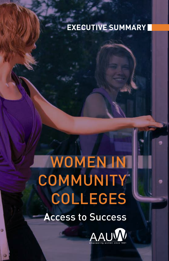# **Executive Summary**

# WOMEN IN **COMMUNITY**  Colleges **A**ccess to Success

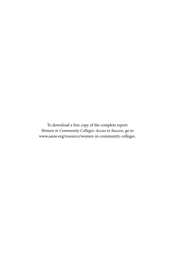To download a free copy of the complete report *Women in Community Colleges: Access to Success*, go to www.aauw.org/resource/women-in-community-colleges.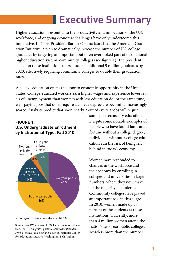# **Executive Summary**

Higher education is essential to the productivity and innovation of the U.S. workforce, and ongoing economic challenges have only underscored this imperative. In 2009, President Barack Obama launched the American Graduation Initiative, a plan to dramatically increase the number of U.S. college graduates by targeting an important but often overlooked part of our national higher education system: community colleges (see figure 1). The president called on these institutions to produce an additional 5 million graduates by 2020, effectively requiring community colleges to double their graduation rates.

A college education opens the door to economic opportunity in the United States. College-educated workers earn higher wages and experience lower levels of unemployment than workers with less education do. At the same time, well-paying jobs that don't require a college degree are becoming increasingly scarce. Analysts predict that soon nearly 2 out of every 3 jobs will require

#### **FIGURE 1. U.S. Undergraduate Enrollment, by Institutional Type, Fall 2010**



Source: AAUW analysis of U.S. Department of Education. (2010). *Integrated postsecondary education data system (IPEDS) fall enrollment survey*. National Center for Education Statistics. Washington, DC: Author.

some postsecondary education. Despite some notable examples of people who have found fame and fortune without a college degree, individuals without a college education run the risk of being left behind in today's economy.

Women have responded to changes in the workforce and the economy by enrolling in colleges and universities in large numbers, where they now make up the majority of students. Community colleges have played an important role in this surge. In 2010, women made up 57 percent of the students at these institutions. Currently, more than 4 million women attend the nation's two-year public colleges, which is more than the number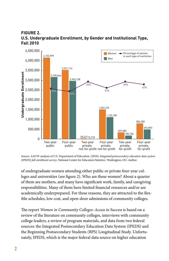#### **FIGURE 2. U.S. Undergraduate Enrollment, by Gender and Institutional Type, Fall 2010**



Source: AAUW analysis of U.S. Department of Education. (2010). *Integrated postsecondary education data system (IPEDS) fall enrollment survey*. National Center for Education Statistics. Washington, DC: Author.

of undergraduate women attending either public or private four-year colleges and universities (see figure 2). Who are these women? About a quarter of them are mothers, and many have significant work, family, and caregiving responsibilities. Many of them have limited financial resources and/or are academically underprepared. For these reasons, they are attracted to the flexible schedules, low cost, and open-door admissions of community colleges.

The report *Women in Community Colleges: Access to Success* is based on a review of the literature on community colleges, interviews with community college leaders, a review of program materials, and data from two federal sources: the Integrated Postsecondary Education Data System (IPEDS) and the Beginning Postsecondary Students (BPS) Longitudinal Study. Unfortunately, IPEDS, which is the major federal data source on higher education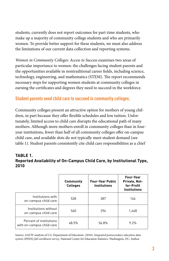students, currently does not report outcomes for part-time students, who make up a majority of community college students and who are primarily women. To provide better support for these students, we must also address the limitations of our current data collection and reporting systems.

*Women in Community Colleges: Access to Success* examines two areas of particular importance to women: the challenges facing student parents and the opportunities available in nontraditional career fields, including science, technology, engineering, and mathematics (STEM). The report recommends necessary steps for supporting women students at community colleges in earning the certificates and degrees they need to succeed in the workforce.

# **Student parents need child care to succeed in community colleges.**

Community colleges present an attractive option for mothers of young children, in part because they offer flexible schedules and low tuition. Unfortunately, limited access to child care disrupts the educational path of many mothers. Although more mothers enroll in community colleges than in fouryear institutions, fewer than half of all community colleges offer on-campus child care, and available slots do not typically meet student demand (see table 1). Student parents consistently cite child care responsibilities as a chief

#### **Table 1. Reported Availability of On-Campus Child Care, by Institutional Type, 2010**

|                                                      | <b>Community</b><br><b>Colleges</b> | <b>Four-Year Public</b><br><b>Institutions</b> | Four-Year<br>Private, Not-<br>for-Profit<br><b>Institutions</b> |
|------------------------------------------------------|-------------------------------------|------------------------------------------------|-----------------------------------------------------------------|
| Institutions with<br>on-campus child care            | 528                                 | 387                                            | 146                                                             |
| Institutions without<br>on-campus child care         | 560                                 | 294                                            | 1,448                                                           |
| Percent of institutions<br>with on-campus child care | 48.5%                               | 56.8%                                          | 9.2%                                                            |

Source: AAUW analysis of U.S. Department of Education. (2010). *Integrated postsecondary education data system (IPEDS) fall enrollment survey*. National Center for Education Statistics. Washington, DC: Author.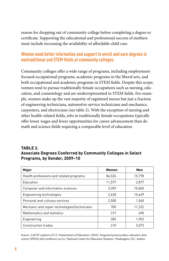reason for dropping out of community college before completing a degree or certificate. Supporting the educational and professional success of mothers must include increasing the availability of affordable child care.

# **Women need better information and support to enroll and earn degrees in nontraditional and STEM fields at community colleges.**

Community colleges offer a wide range of programs, including employmentfocused occupational programs, academic programs in the liberal arts, and both occupational and academic programs in STEM fields. Despite this scope, women tend to pursue traditionally female occupations such as nursing, education, and cosmetology and are underrepresented in STEM fields. For example, women make up the vast majority of registered nurses but just a fraction of engineering technicians, automotive service technicians and mechanics, carpenters, and electricians (see table 2). With the exception of nursing and other health-related fields, jobs in traditionally female occupations typically offer lower wages and fewer opportunities for career advancement than do math and science fields requiring a comparable level of education.

#### **Table 2. Associate Degrees Conferred by Community Colleges in Select Programs, by Gender, 2009–10**

| Major                                        | Women  | Men    |
|----------------------------------------------|--------|--------|
| Health professions and related programs      | 84,526 | 15,778 |
| Education                                    | 11.577 | 2.877  |
| Computer and information sciences            | 3.359  | 10,860 |
| Engineering technologies                     | 2.628  | 15,629 |
| Personal and culinary services               | 2,500  | 1,560  |
| Mechanic and repair technologies/technicians | 785    | 11,332 |
| Mathematics and statistics                   | 317    | 690    |
| Engineering                                  | 282    | 1,902  |
| <b>Construction trades</b>                   | 210    | 3.073  |

Source: AAUW analysis of U.S. Department of Education. (2010). *Integrated postsecondary education data system (IPEDS) fall enrollment survey*. National Center for Education Statistics. Washington, DC: Author.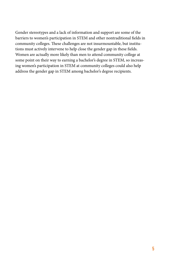Gender stereotypes and a lack of information and support are some of the barriers to women's participation in STEM and other nontraditional fields in community colleges. These challenges are not insurmountable, but institutions must actively intervene to help close the gender gap in these fields. Women are actually more likely than men to attend community college at some point on their way to earning a bachelor's degree in STEM, so increasing women's participation in STEM at community colleges could also help address the gender gap in STEM among bachelor's degree recipients.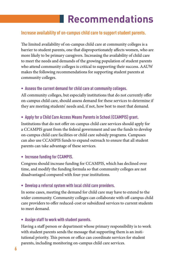# **Recommendations**

# **Increase availability of on-campus child care to support student parents.**

The limited availability of on-campus child care at community colleges is a barrier to student parents, one that disproportionately affects women, who are more likely to be primary caregivers. Increasing the availability of child care to meet the needs and demands of the growing population of student parents who attend community colleges is critical to supporting their success. AAUW makes the following recommendations for supporting student parents at community colleges.

#### **• Assess the current demand for child care at community colleges.**

All community colleges, but especially institutions that do not currently offer on-campus child care, should assess demand for these services to determine if they are meeting students' needs and, if not, how best to meet that demand.

### **• Apply for a Child Care Access Means Parents in School (CCAMPIS) grant.**

Institutions that do not offer on-campus child care services should apply for a CCAMPIS grant from the federal government and use the funds to develop on-campus child care facilities or child care subsidy programs. Campuses can also use CCAMPIS funds to expand outreach to ensure that all student parents can take advantage of these services.

#### **• Increase funding for CCAMPIS.**

Congress should increase funding for CCAMPIS, which has declined over time, and modify the funding formula so that community colleges are not disadvantaged compared with four-year institutions.

#### **• Develop a referral system with local child care providers.**

In some cases, meeting the demand for child care may have to extend to the wider community. Community colleges can collaborate with off-campus child care providers to offer reduced-cost or subsidized services to current students to meet demand.

#### **• Assign staff to work with student parents.**

Having a staff person or department whose primary responsibility is to work with student parents sends the message that supporting them is an institutional priority. This person or office can coordinate services for student parents, including monitoring on-campus child care services.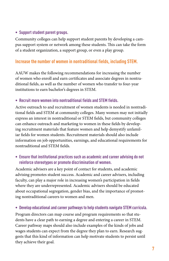#### **• Support student parent groups.**

Community colleges can help support student parents by developing a campus support system or network among these students. This can take the form of a student organization, a support group, or even a play group.

# **Increase the number of women in nontraditional fields, including STEM.**

AAUW makes the following recommendations for increasing the number of women who enroll and earn certificates and associate degrees in nontraditional fields, as well as the number of women who transfer to four-year institutions to earn bachelor's degrees in STEM.

#### **• Recruit more women into nontraditional fields and STEM fields.**

Active outreach to and recruitment of women students is needed in nontraditional fields and STEM at community colleges. Many women may not initially express an interest in nontraditional or STEM fields, but community colleges can enhance outreach and marketing to women in these fields by developing recruitment materials that feature women and help demystify unfamiliar fields for women students. Recruitment materials should also include information on job opportunities, earnings, and educational requirements for nontraditional and STEM fields.

#### **• Ensure that institutional practices such as academic and career advising do not reinforce stereotypes or promote discrimination of women.**

Academic advisers are a key point of contact for students, and academic advising promotes student success. Academic and career advisers, including faculty, can play a major role in increasing women's participation in fields where they are underrepresented. Academic advisers should be educated about occupational segregation, gender bias, and the importance of promoting nontraditional careers to women and men.

#### **• Develop educational and career pathways to help students navigate STEM curricula.**

Program directors can map course and program requirements so that students have a clear path to earning a degree and entering a career in STEM. Career pathway maps should also include examples of the kinds of jobs and wages students can expect from the degree they plan to earn. Research suggests that this kind of information can help motivate students to persist until they achieve their goal.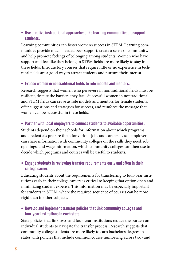#### **• Use creative instructional approaches, like learning communities, to support students.**

Learning communities can foster women's success in STEM. Learning communities provide much-needed peer support, create a sense of community, and help promote feelings of belonging among students. Women who have support and feel like they belong in STEM fields are more likely to stay in these fields. Introductory courses that require little or no experience in technical fields are a good way to attract students and nurture their interest.

#### **• Expose women in nontraditional fields to role models and mentors.**

Research suggests that women who persevere in nontraditional fields must be resilient, despite the barriers they face. Successful women in nontraditional and STEM fields can serve as role models and mentors for female students, offer suggestions and strategies for success, and reinforce the message that women can be successful in these fields.

#### **• Partner with local employers to connect students to available opportunities.**

Students depend on their schools for information about which programs and credentials prepare them for various jobs and careers. Local employers can share information with community colleges on the skills they need, job openings, and wage information, which community colleges can then use to decide which programs and courses will be useful to students.

#### **• Engage students in reviewing transfer requirements early and often in their college career.**

Educating students about the requirements for transferring to four-year institutions early in their college careers is critical to keeping that option open and minimizing student expense. This information may be especially important for students in STEM, where the required sequence of courses can be more rigid than in other subjects.

**• Develop and implement transfer policies that link community colleges and four-year institutions in each state.** 

State policies that link two- and four-year institutions reduce the burden on individual students to navigate the transfer process. Research suggests that community college students are more likely to earn bachelor's degrees in states with policies that include common course numbering across two- and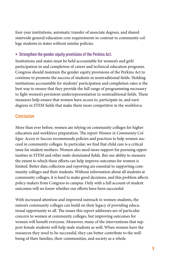four-year institutions, automatic transfer of associate degrees, and shared statewide general education core requirements in contrast to community college students in states without similar policies.

#### **• Strengthen the gender equity provisions of the Perkins Act.**

Institutions and states must be held accountable for women's and girls' participation in and completion of career and technical education programs. Congress should maintain the gender equity provisions of the Perkins Act to continue to promote the success of students in nontraditional fields. Holding institutions accountable for students' participation and completion rates is the best way to ensure that they provide the full range of programming necessary to fight women's persistent underrepresentation in nontraditional fields. These measures help ensure that women have access to, participate in, and earn degrees in STEM fields that make them more competitive in the workforce.

# **Conclusion**

More than ever before, women are relying on community colleges for higher education and workforce preparation. The report *Women in Community Colleges: Access to Success* recommends policies and practices to help women succeed in community colleges. In particular, we find that child care is a critical issue for student mothers. Women also need more support for pursuing opportunities in STEM and other male-dominated fields. But our ability to measure the extent to which these efforts can help improve outcomes for women is limited. Better data collection and reporting are essential to supporting community colleges and their students. Without information about all students at community colleges, it is hard to make good decisions, and this problem affects policy makers from Congress to campus. Only with a full account of student outcomes will we know whether our efforts have been successful.

With increased attention and improved outreach to women students, the nation's community colleges can build on their legacy of providing educational opportunity to all. The issues this report addresses are of particular concern to women at community colleges, but improving outcomes for women will benefit everyone. Moreover, many of the interventions that support female students will help male students as well. When women have the resources they need to be successful, they can better contribute to the wellbeing of their families, their communities, and society as a whole.